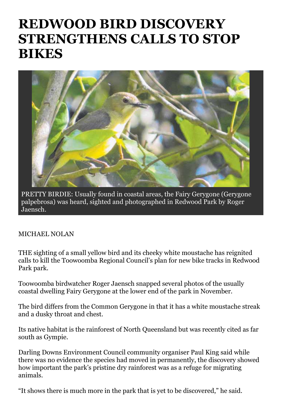## **REDWOOD BIRD DISCOVERY STRENGTHENS CALLS TO STOP BIKES**



PRETTY BIRDIE: Usually found in coastal areas, the Fairy Gerygone (Gerygone palpebrosa) was heard, sighted and photographed in Redwood Park by Roger Jaensch.

## MICHAEL NOLAN

THE sighting of a small yellow bird and its cheeky white moustache has reignited calls to kill the Toowoomba Regional Council's plan for new bike tracks in Redwood Park park.

Toowoomba birdwatcher Roger Jaensch snapped several photos of the usually coastal dwelling Fairy Gerygone at the lower end of the park in November.

The bird differs from the Common Gerygone in that it has a white moustache streak and a dusky throat and chest.

Its native habitat is the rainforest of North Queensland but was recently cited as far south as Gympie.

Darling Downs Environment Council community organiser Paul King said while there was no evidence the species had moved in permanently, the discovery showed how important the park's pristine dry rainforest was as a refuge for migrating animals.

"It shows there is much more in the park that is yet to be discovered," he said.